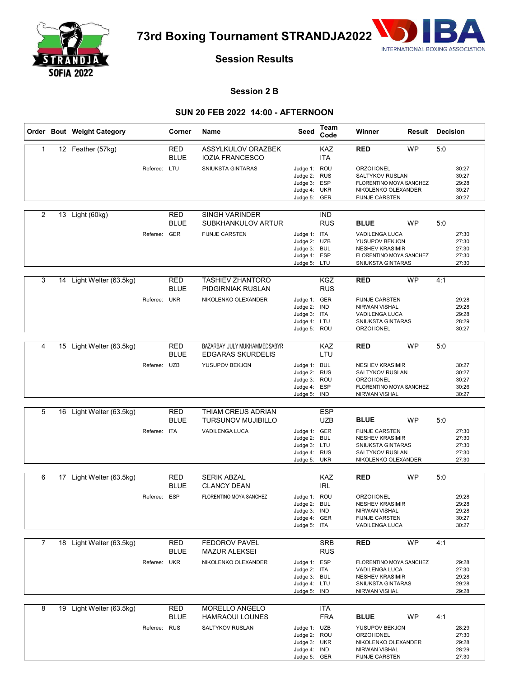

**73rd Boxing Tournament STRANDJA2022**



# **Session Results**

### **Session 2 B**

## **SUN 20 FEB 2022 14:00 - AFTERNOON**

|                |    | Order Bout Weight Category |              | Corner                    | Name                                                     | Seed                                                                         | Team<br>Code             | Winner                                                                                                                | Result    | Decision |                                           |
|----------------|----|----------------------------|--------------|---------------------------|----------------------------------------------------------|------------------------------------------------------------------------------|--------------------------|-----------------------------------------------------------------------------------------------------------------------|-----------|----------|-------------------------------------------|
| 1              |    | 12 Feather (57kg)          |              | RED<br><b>BLUE</b>        | ASSYLKULOV ORAZBEK<br><b>IOZIA FRANCESCO</b>             |                                                                              | KAZ<br><b>ITA</b>        | <b>RED</b>                                                                                                            | <b>WP</b> | 5:0      |                                           |
|                |    |                            | Referee: LTU |                           | SNIUKSTA GINTARAS                                        | Judge 1: ROU<br>Judge 2: RUS<br>Judge 3: ESP<br>Judge 4: UKR<br>Judge 5: GER |                          | ORZOI IONEL<br>SALTYKOV RUSLAN<br>FLORENTINO MOYA SANCHEZ<br>NIKOLENKO OLEXANDER<br><b>FIJNJE CARSTEN</b>             |           |          | 30:27<br>30:27<br>29:28<br>30:27<br>30:27 |
| 2              |    | 13 Light (60kg)            |              | RED<br><b>BLUE</b>        | <b>SINGH VARINDER</b><br>SUBKHANKULOV ARTUR              |                                                                              | IND<br><b>RUS</b>        | <b>BLUE</b>                                                                                                           | <b>WP</b> | 5:0      |                                           |
|                |    |                            | Referee: GER |                           | <b>FIJNJE CARSTEN</b>                                    | Judge 1: ITA<br>Judge 2: UZB<br>Judge 3: BUL<br>Judge 4: ESP<br>Judge 5: LTU |                          | <b>VADILENGA LUCA</b><br>YUSUPOV BEKJON<br><b>NESHEV KRASIMIR</b><br>FLORENTINO MOYA SANCHEZ<br>SNIUKSTA GINTARAS     |           |          | 27:30<br>27:30<br>27:30<br>27:30<br>27:30 |
| 3              | 14 | Light Welter (63.5kg)      |              | <b>RED</b><br><b>BLUE</b> | <b>TASHIEV ZHANTORO</b><br>PIDGIRNIAK RUSLAN             |                                                                              | <b>KGZ</b><br><b>RUS</b> | <b>RED</b>                                                                                                            | <b>WP</b> | 4:1      |                                           |
|                |    |                            | Referee:     | <b>UKR</b>                | NIKOLENKO OLEXANDER                                      | Judge 1: GER<br>Judge 2: IND<br>Judge 3: ITA<br>Judge 4: LTU<br>Judge 5: ROU |                          | <b>FIJNJE CARSTEN</b><br>NIRWAN VISHAL<br><b>VADILENGA LUCA</b><br><b>SNIUKSTA GINTARAS</b><br>ORZOI IONEL            |           |          | 29:28<br>29:28<br>29:28<br>28:29<br>30:27 |
|                |    |                            |              |                           |                                                          |                                                                              |                          |                                                                                                                       |           |          |                                           |
| 4              |    | 15 Light Welter (63.5kg)   |              | <b>RED</b><br><b>BLUE</b> | BAZARBAY UULY MUKHAMMEDSABYR<br><b>EDGARAS SKURDELIS</b> |                                                                              | KAZ<br>LTU               | <b>RED</b>                                                                                                            | <b>WP</b> | 5:0      |                                           |
|                |    |                            | Referee: UZB |                           | YUSUPOV BEKJON                                           | Judge 1: BUL<br>Judge 2: RUS<br>Judge 3: ROU<br>Judge 4: ESP<br>Judge 5: IND |                          | <b>NESHEV KRASIMIR</b><br>SALTYKOV RUSLAN<br>ORZOI IONEL<br>FLORENTINO MOYA SANCHEZ<br>NIRWAN VISHAL                  |           |          | 30:27<br>30:27<br>30:27<br>30:26<br>30:27 |
|                |    |                            |              |                           |                                                          |                                                                              |                          |                                                                                                                       |           |          |                                           |
| 5              | 16 | Light Welter (63.5kg)      |              | <b>RED</b><br><b>BLUE</b> | THIAM CREUS ADRIAN<br><b>TURSUNOV MUJIBILLO</b>          |                                                                              | <b>ESP</b><br><b>UZB</b> | <b>BLUE</b>                                                                                                           | <b>WP</b> | 5:0      |                                           |
|                |    |                            | Referee: ITA |                           | VADILENGA LUCA                                           | Judge 1: GER<br>Judge 2: BUL<br>Judge 3: LTU<br>Judge 4: RUS<br>Judge 5: UKR |                          | <b>FIJNJE CARSTEN</b><br><b>NESHEV KRASIMIR</b><br>SNIUKSTA GINTARAS<br><b>SALTYKOV RUSLAN</b><br>NIKOLENKO OLEXANDER |           |          | 27:30<br>27:30<br>27:30<br>27:30<br>27:30 |
| 6              |    | 17 Light Welter (63.5kg)   |              |                           |                                                          |                                                                              | KAZ                      | <b>RED</b>                                                                                                            | <b>WP</b> |          |                                           |
|                |    |                            |              | RED<br><b>BLUE</b>        | <b>SERIK ABZAL</b><br><b>CLANCY DEAN</b>                 |                                                                              | <b>IRL</b>               |                                                                                                                       |           | 5:0      |                                           |
|                |    |                            | Referee:     | <b>ESP</b>                | FLORENTINO MOYA SANCHEZ                                  | Judge 1: ROU<br>Judge 2: BUL<br>Judge 3: IND<br>Judge 4: GER<br>Judge 5: ITA |                          | <b>ORZOI IONEL</b><br><b>NESHEV KRASIMIR</b><br>NIRWAN VISHAL<br><b>FIJNJE CARSTEN</b><br>VADILENGA LUCA              |           |          | 29:28<br>29:28<br>29:28<br>30:27<br>30:27 |
| $\overline{7}$ |    | 18 Light Welter (63.5kg)   |              | <b>RED</b>                | <b>FEDOROV PAVEL</b>                                     |                                                                              | <b>SRB</b>               | <b>RED</b>                                                                                                            | <b>WP</b> | 4:1      |                                           |
|                |    |                            |              | <b>BLUE</b>               | <b>MAZUR ALEKSEI</b>                                     |                                                                              | <b>RUS</b>               |                                                                                                                       |           |          |                                           |
|                |    |                            | Referee: UKR |                           | NIKOLENKO OLEXANDER                                      | Judge 1: ESP<br>Judge 2: ITA<br>Judge 3: BUL<br>Judge 4: LTU<br>Judge 5: IND |                          | FLORENTINO MOYA SANCHEZ<br>VADILENGA LUCA<br><b>NESHEV KRASIMIR</b><br>SNIUKSTA GINTARAS<br>NIRWAN VISHAL             |           |          | 29:28<br>27:30<br>29:28<br>29:28<br>29:28 |
| 8              |    | 19 Light Welter (63.5kg)   |              | RED<br><b>BLUE</b>        | MORELLO ANGELO<br><b>HAMRAOUI LOUNES</b>                 |                                                                              | <b>ITA</b><br><b>FRA</b> | <b>BLUE</b>                                                                                                           | <b>WP</b> | 4:1      |                                           |
|                |    |                            | Referee: RUS |                           | SALTYKOV RUSLAN                                          | Judge 1: UZB<br>Judge 2: ROU<br>Judge 3: UKR<br>Judge 4: IND<br>Judge 5: GER |                          | YUSUPOV BEKJON<br>ORZOI IONEL<br>NIKOLENKO OLEXANDER<br>NIRWAN VISHAL<br><b>FIJNJE CARSTEN</b>                        |           |          | 28:29<br>27:30<br>29:28<br>28:29<br>27:30 |